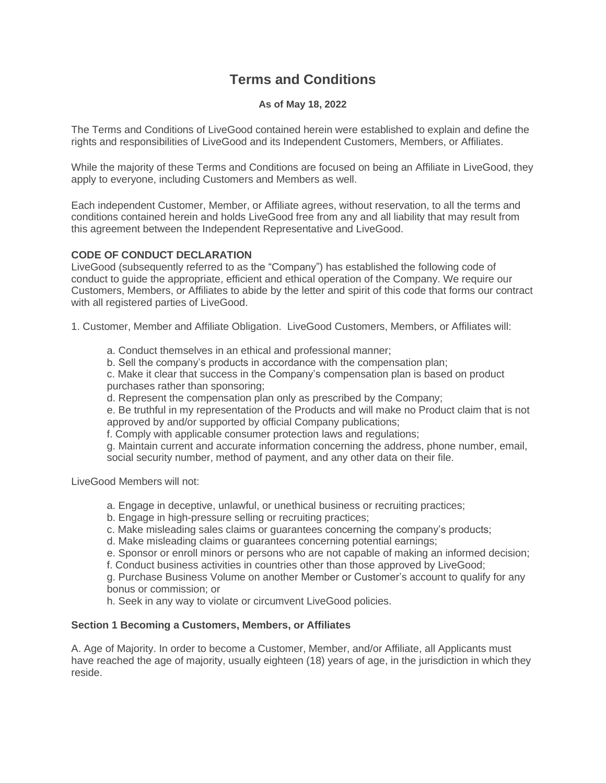# **Terms and Conditions**

## **As of May 18, 2022**

The Terms and Conditions of LiveGood contained herein were established to explain and define the rights and responsibilities of LiveGood and its Independent Customers, Members, or Affiliates.

While the majority of these Terms and Conditions are focused on being an Affiliate in LiveGood, they apply to everyone, including Customers and Members as well.

Each independent Customer, Member, or Affiliate agrees, without reservation, to all the terms and conditions contained herein and holds LiveGood free from any and all liability that may result from this agreement between the Independent Representative and LiveGood.

## **CODE OF CONDUCT DECLARATION**

LiveGood (subsequently referred to as the "Company") has established the following code of conduct to guide the appropriate, efficient and ethical operation of the Company. We require our Customers, Members, or Affiliates to abide by the letter and spirit of this code that forms our contract with all registered parties of LiveGood.

1. Customer, Member and Affiliate Obligation. LiveGood Customers, Members, or Affiliates will:

- a. Conduct themselves in an ethical and professional manner;
- b. Sell the company's products in accordance with the compensation plan;

c. Make it clear that success in the Company's compensation plan is based on product purchases rather than sponsoring;

d. Represent the compensation plan only as prescribed by the Company;

e. Be truthful in my representation of the Products and will make no Product claim that is not approved by and/or supported by official Company publications;

f. Comply with applicable consumer protection laws and regulations;

g. Maintain current and accurate information concerning the address, phone number, email, social security number, method of payment, and any other data on their file.

LiveGood Members will not:

- a. Engage in deceptive, unlawful, or unethical business or recruiting practices;
- b. Engage in high-pressure selling or recruiting practices;
- c. Make misleading sales claims or guarantees concerning the company's products;
- d. Make misleading claims or guarantees concerning potential earnings;
- e. Sponsor or enroll minors or persons who are not capable of making an informed decision;

f. Conduct business activities in countries other than those approved by LiveGood;

g. Purchase Business Volume on another Member or Customer's account to qualify for any bonus or commission; or

h. Seek in any way to violate or circumvent LiveGood policies.

## **Section 1 Becoming a Customers, Members, or Affiliates**

A. Age of Majority. In order to become a Customer, Member, and/or Affiliate, all Applicants must have reached the age of majority, usually eighteen (18) years of age, in the jurisdiction in which they reside.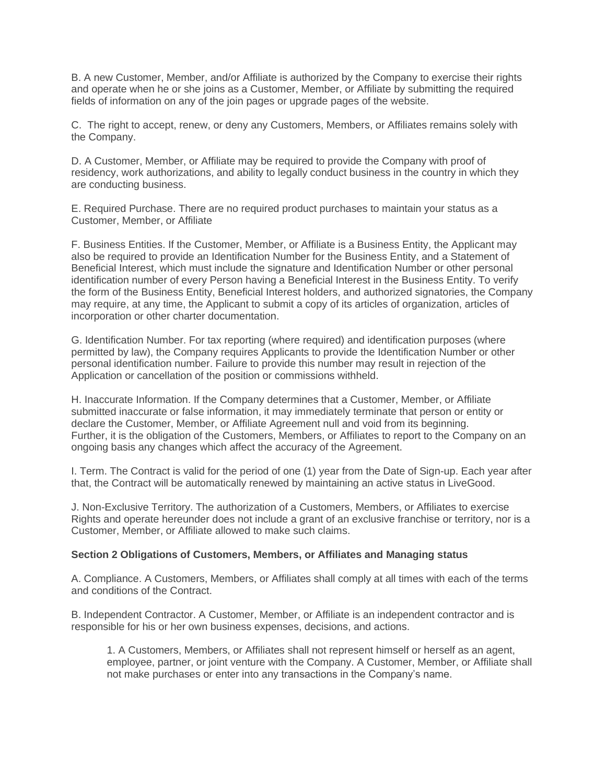B. A new Customer, Member, and/or Affiliate is authorized by the Company to exercise their rights and operate when he or she joins as a Customer, Member, or Affiliate by submitting the required fields of information on any of the join pages or upgrade pages of the website.

C. The right to accept, renew, or deny any Customers, Members, or Affiliates remains solely with the Company.

D. A Customer, Member, or Affiliate may be required to provide the Company with proof of residency, work authorizations, and ability to legally conduct business in the country in which they are conducting business.

E. Required Purchase. There are no required product purchases to maintain your status as a Customer, Member, or Affiliate

F. Business Entities. If the Customer, Member, or Affiliate is a Business Entity, the Applicant may also be required to provide an Identification Number for the Business Entity, and a Statement of Beneficial Interest, which must include the signature and Identification Number or other personal identification number of every Person having a Beneficial Interest in the Business Entity. To verify the form of the Business Entity, Beneficial Interest holders, and authorized signatories, the Company may require, at any time, the Applicant to submit a copy of its articles of organization, articles of incorporation or other charter documentation.

G. Identification Number. For tax reporting (where required) and identification purposes (where permitted by law), the Company requires Applicants to provide the Identification Number or other personal identification number. Failure to provide this number may result in rejection of the Application or cancellation of the position or commissions withheld.

H. Inaccurate Information. If the Company determines that a Customer, Member, or Affiliate submitted inaccurate or false information, it may immediately terminate that person or entity or declare the Customer, Member, or Affiliate Agreement null and void from its beginning. Further, it is the obligation of the Customers, Members, or Affiliates to report to the Company on an ongoing basis any changes which affect the accuracy of the Agreement.

I. Term. The Contract is valid for the period of one (1) year from the Date of Sign-up. Each year after that, the Contract will be automatically renewed by maintaining an active status in LiveGood.

J. Non-Exclusive Territory. The authorization of a Customers, Members, or Affiliates to exercise Rights and operate hereunder does not include a grant of an exclusive franchise or territory, nor is a Customer, Member, or Affiliate allowed to make such claims.

## **Section 2 Obligations of Customers, Members, or Affiliates and Managing status**

A. Compliance. A Customers, Members, or Affiliates shall comply at all times with each of the terms and conditions of the Contract.

B. Independent Contractor. A Customer, Member, or Affiliate is an independent contractor and is responsible for his or her own business expenses, decisions, and actions.

1. A Customers, Members, or Affiliates shall not represent himself or herself as an agent, employee, partner, or joint venture with the Company. A Customer, Member, or Affiliate shall not make purchases or enter into any transactions in the Company's name.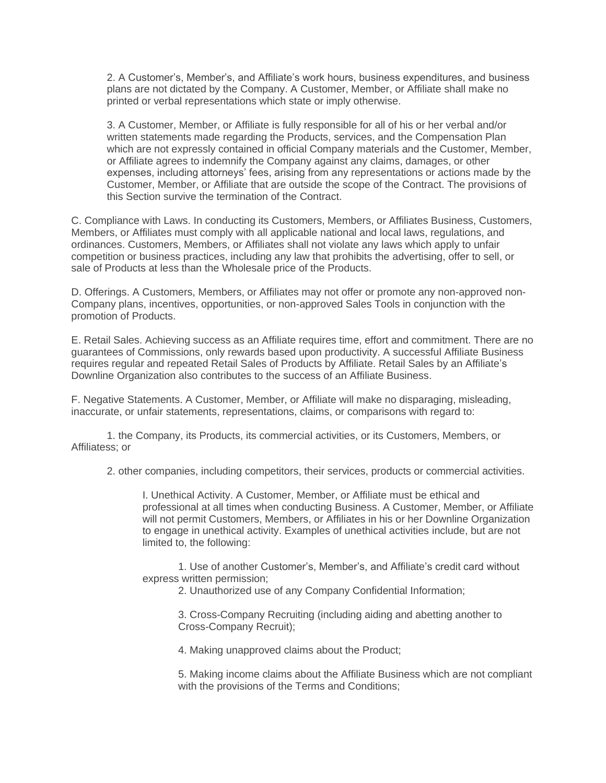2. A Customer's, Member's, and Affiliate's work hours, business expenditures, and business plans are not dictated by the Company. A Customer, Member, or Affiliate shall make no printed or verbal representations which state or imply otherwise.

3. A Customer, Member, or Affiliate is fully responsible for all of his or her verbal and/or written statements made regarding the Products, services, and the Compensation Plan which are not expressly contained in official Company materials and the Customer, Member, or Affiliate agrees to indemnify the Company against any claims, damages, or other expenses, including attorneys' fees, arising from any representations or actions made by the Customer, Member, or Affiliate that are outside the scope of the Contract. The provisions of this Section survive the termination of the Contract.

C. Compliance with Laws. In conducting its Customers, Members, or Affiliates Business, Customers, Members, or Affiliates must comply with all applicable national and local laws, regulations, and ordinances. Customers, Members, or Affiliates shall not violate any laws which apply to unfair competition or business practices, including any law that prohibits the advertising, offer to sell, or sale of Products at less than the Wholesale price of the Products.

D. Offerings. A Customers, Members, or Affiliates may not offer or promote any non-approved non-Company plans, incentives, opportunities, or non-approved Sales Tools in conjunction with the promotion of Products.

E. Retail Sales. Achieving success as an Affiliate requires time, effort and commitment. There are no guarantees of Commissions, only rewards based upon productivity. A successful Affiliate Business requires regular and repeated Retail Sales of Products by Affiliate. Retail Sales by an Affiliate's Downline Organization also contributes to the success of an Affiliate Business.

F. Negative Statements. A Customer, Member, or Affiliate will make no disparaging, misleading, inaccurate, or unfair statements, representations, claims, or comparisons with regard to:

1. the Company, its Products, its commercial activities, or its Customers, Members, or Affiliatess; or

2. other companies, including competitors, their services, products or commercial activities.

I. Unethical Activity. A Customer, Member, or Affiliate must be ethical and professional at all times when conducting Business. A Customer, Member, or Affiliate will not permit Customers, Members, or Affiliates in his or her Downline Organization to engage in unethical activity. Examples of unethical activities include, but are not limited to, the following:

1. Use of another Customer's, Member's, and Affiliate's credit card without express written permission;

2. Unauthorized use of any Company Confidential Information;

3. Cross-Company Recruiting (including aiding and abetting another to Cross-Company Recruit);

4. Making unapproved claims about the Product;

5. Making income claims about the Affiliate Business which are not compliant with the provisions of the Terms and Conditions;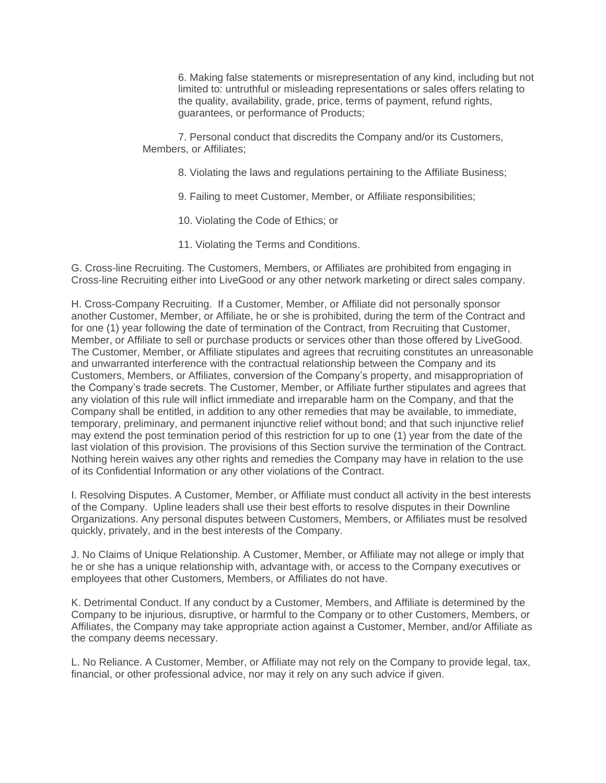6. Making false statements or misrepresentation of any kind, including but not limited to: untruthful or misleading representations or sales offers relating to the quality, availability, grade, price, terms of payment, refund rights, guarantees, or performance of Products;

7. Personal conduct that discredits the Company and/or its Customers, Members, or Affiliates;

8. Violating the laws and regulations pertaining to the Affiliate Business;

9. Failing to meet Customer, Member, or Affiliate responsibilities;

- 10. Violating the Code of Ethics; or
- 11. Violating the Terms and Conditions.

G. Cross-line Recruiting. The Customers, Members, or Affiliates are prohibited from engaging in Cross-line Recruiting either into LiveGood or any other network marketing or direct sales company.

H. Cross-Company Recruiting. If a Customer, Member, or Affiliate did not personally sponsor another Customer, Member, or Affiliate, he or she is prohibited, during the term of the Contract and for one (1) year following the date of termination of the Contract, from Recruiting that Customer, Member, or Affiliate to sell or purchase products or services other than those offered by LiveGood. The Customer, Member, or Affiliate stipulates and agrees that recruiting constitutes an unreasonable and unwarranted interference with the contractual relationship between the Company and its Customers, Members, or Affiliates, conversion of the Company's property, and misappropriation of the Company's trade secrets. The Customer, Member, or Affiliate further stipulates and agrees that any violation of this rule will inflict immediate and irreparable harm on the Company, and that the Company shall be entitled, in addition to any other remedies that may be available, to immediate, temporary, preliminary, and permanent injunctive relief without bond; and that such injunctive relief may extend the post termination period of this restriction for up to one (1) year from the date of the last violation of this provision. The provisions of this Section survive the termination of the Contract. Nothing herein waives any other rights and remedies the Company may have in relation to the use of its Confidential Information or any other violations of the Contract.

I. Resolving Disputes. A Customer, Member, or Affiliate must conduct all activity in the best interests of the Company. Upline leaders shall use their best efforts to resolve disputes in their Downline Organizations. Any personal disputes between Customers, Members, or Affiliates must be resolved quickly, privately, and in the best interests of the Company.

J. No Claims of Unique Relationship. A Customer, Member, or Affiliate may not allege or imply that he or she has a unique relationship with, advantage with, or access to the Company executives or employees that other Customers, Members, or Affiliates do not have.

K. Detrimental Conduct. If any conduct by a Customer, Members, and Affiliate is determined by the Company to be injurious, disruptive, or harmful to the Company or to other Customers, Members, or Affiliates, the Company may take appropriate action against a Customer, Member, and/or Affiliate as the company deems necessary.

L. No Reliance. A Customer, Member, or Affiliate may not rely on the Company to provide legal, tax, financial, or other professional advice, nor may it rely on any such advice if given.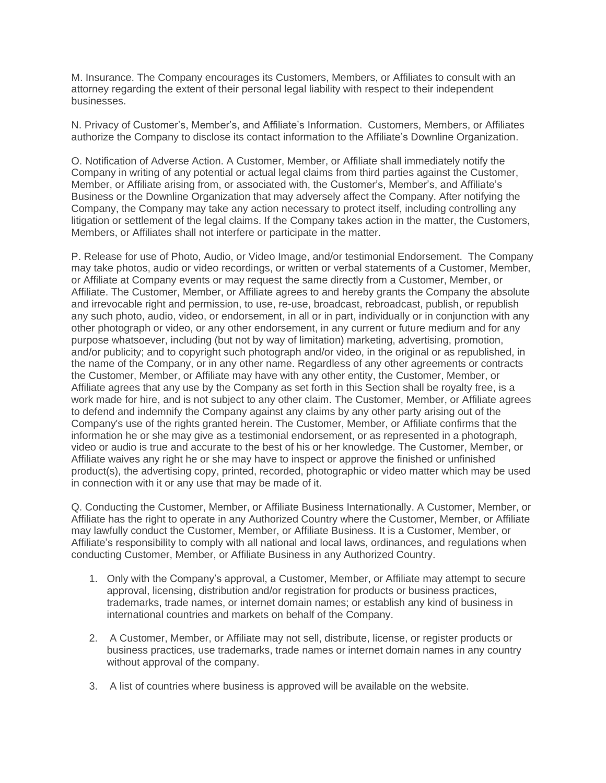M. Insurance. The Company encourages its Customers, Members, or Affiliates to consult with an attorney regarding the extent of their personal legal liability with respect to their independent businesses.

N. Privacy of Customer's, Member's, and Affiliate's Information. Customers, Members, or Affiliates authorize the Company to disclose its contact information to the Affiliate's Downline Organization.

O. Notification of Adverse Action. A Customer, Member, or Affiliate shall immediately notify the Company in writing of any potential or actual legal claims from third parties against the Customer, Member, or Affiliate arising from, or associated with, the Customer's, Member's, and Affiliate's Business or the Downline Organization that may adversely affect the Company. After notifying the Company, the Company may take any action necessary to protect itself, including controlling any litigation or settlement of the legal claims. If the Company takes action in the matter, the Customers, Members, or Affiliates shall not interfere or participate in the matter.

P. Release for use of Photo, Audio, or Video Image, and/or testimonial Endorsement. The Company may take photos, audio or video recordings, or written or verbal statements of a Customer, Member, or Affiliate at Company events or may request the same directly from a Customer, Member, or Affiliate. The Customer, Member, or Affiliate agrees to and hereby grants the Company the absolute and irrevocable right and permission, to use, re-use, broadcast, rebroadcast, publish, or republish any such photo, audio, video, or endorsement, in all or in part, individually or in conjunction with any other photograph or video, or any other endorsement, in any current or future medium and for any purpose whatsoever, including (but not by way of limitation) marketing, advertising, promotion, and/or publicity; and to copyright such photograph and/or video, in the original or as republished, in the name of the Company, or in any other name. Regardless of any other agreements or contracts the Customer, Member, or Affiliate may have with any other entity, the Customer, Member, or Affiliate agrees that any use by the Company as set forth in this Section shall be royalty free, is a work made for hire, and is not subject to any other claim. The Customer, Member, or Affiliate agrees to defend and indemnify the Company against any claims by any other party arising out of the Company's use of the rights granted herein. The Customer, Member, or Affiliate confirms that the information he or she may give as a testimonial endorsement, or as represented in a photograph, video or audio is true and accurate to the best of his or her knowledge. The Customer, Member, or Affiliate waives any right he or she may have to inspect or approve the finished or unfinished product(s), the advertising copy, printed, recorded, photographic or video matter which may be used in connection with it or any use that may be made of it.

Q. Conducting the Customer, Member, or Affiliate Business Internationally. A Customer, Member, or Affiliate has the right to operate in any Authorized Country where the Customer, Member, or Affiliate may lawfully conduct the Customer, Member, or Affiliate Business. It is a Customer, Member, or Affiliate's responsibility to comply with all national and local laws, ordinances, and regulations when conducting Customer, Member, or Affiliate Business in any Authorized Country.

- 1. Only with the Company's approval, a Customer, Member, or Affiliate may attempt to secure approval, licensing, distribution and/or registration for products or business practices, trademarks, trade names, or internet domain names; or establish any kind of business in international countries and markets on behalf of the Company.
- 2. A Customer, Member, or Affiliate may not sell, distribute, license, or register products or business practices, use trademarks, trade names or internet domain names in any country without approval of the company.
- 3. A list of countries where business is approved will be available on the website.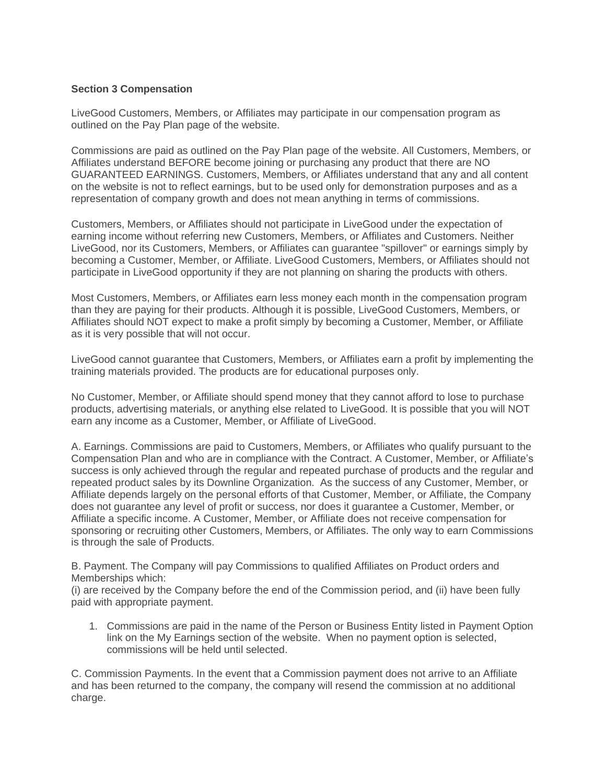## **Section 3 Compensation**

LiveGood Customers, Members, or Affiliates may participate in our compensation program as outlined on the Pay Plan page of the website.

Commissions are paid as outlined on the Pay Plan page of the website. All Customers, Members, or Affiliates understand BEFORE become joining or purchasing any product that there are NO GUARANTEED EARNINGS. Customers, Members, or Affiliates understand that any and all content on the website is not to reflect earnings, but to be used only for demonstration purposes and as a representation of company growth and does not mean anything in terms of commissions.

Customers, Members, or Affiliates should not participate in LiveGood under the expectation of earning income without referring new Customers, Members, or Affiliates and Customers. Neither LiveGood, nor its Customers, Members, or Affiliates can guarantee "spillover" or earnings simply by becoming a Customer, Member, or Affiliate. LiveGood Customers, Members, or Affiliates should not participate in LiveGood opportunity if they are not planning on sharing the products with others.

Most Customers, Members, or Affiliates earn less money each month in the compensation program than they are paying for their products. Although it is possible, LiveGood Customers, Members, or Affiliates should NOT expect to make a profit simply by becoming a Customer, Member, or Affiliate as it is very possible that will not occur.

LiveGood cannot guarantee that Customers, Members, or Affiliates earn a profit by implementing the training materials provided. The products are for educational purposes only.

No Customer, Member, or Affiliate should spend money that they cannot afford to lose to purchase products, advertising materials, or anything else related to LiveGood. It is possible that you will NOT earn any income as a Customer, Member, or Affiliate of LiveGood.

A. Earnings. Commissions are paid to Customers, Members, or Affiliates who qualify pursuant to the Compensation Plan and who are in compliance with the Contract. A Customer, Member, or Affiliate's success is only achieved through the regular and repeated purchase of products and the regular and repeated product sales by its Downline Organization. As the success of any Customer, Member, or Affiliate depends largely on the personal efforts of that Customer, Member, or Affiliate, the Company does not guarantee any level of profit or success, nor does it guarantee a Customer, Member, or Affiliate a specific income. A Customer, Member, or Affiliate does not receive compensation for sponsoring or recruiting other Customers, Members, or Affiliates. The only way to earn Commissions is through the sale of Products.

B. Payment. The Company will pay Commissions to qualified Affiliates on Product orders and Memberships which:

(i) are received by the Company before the end of the Commission period, and (ii) have been fully paid with appropriate payment.

1. Commissions are paid in the name of the Person or Business Entity listed in Payment Option link on the My Earnings section of the website. When no payment option is selected, commissions will be held until selected.

C. Commission Payments. In the event that a Commission payment does not arrive to an Affiliate and has been returned to the company, the company will resend the commission at no additional charge.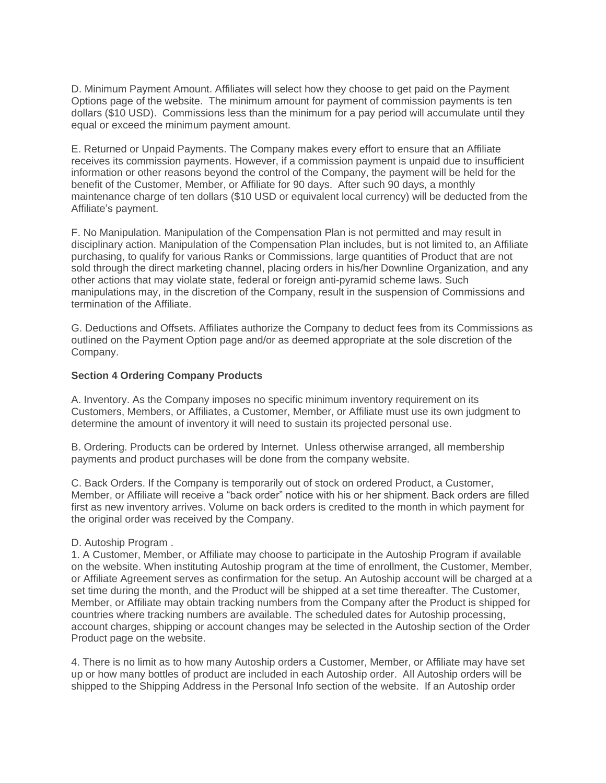D. Minimum Payment Amount. Affiliates will select how they choose to get paid on the Payment Options page of the website. The minimum amount for payment of commission payments is ten dollars (\$10 USD). Commissions less than the minimum for a pay period will accumulate until they equal or exceed the minimum payment amount.

E. Returned or Unpaid Payments. The Company makes every effort to ensure that an Affiliate receives its commission payments. However, if a commission payment is unpaid due to insufficient information or other reasons beyond the control of the Company, the payment will be held for the benefit of the Customer, Member, or Affiliate for 90 days. After such 90 days, a monthly maintenance charge of ten dollars (\$10 USD or equivalent local currency) will be deducted from the Affiliate's payment.

F. No Manipulation. Manipulation of the Compensation Plan is not permitted and may result in disciplinary action. Manipulation of the Compensation Plan includes, but is not limited to, an Affiliate purchasing, to qualify for various Ranks or Commissions, large quantities of Product that are not sold through the direct marketing channel, placing orders in his/her Downline Organization, and any other actions that may violate state, federal or foreign anti-pyramid scheme laws. Such manipulations may, in the discretion of the Company, result in the suspension of Commissions and termination of the Affiliate.

G. Deductions and Offsets. Affiliates authorize the Company to deduct fees from its Commissions as outlined on the Payment Option page and/or as deemed appropriate at the sole discretion of the Company.

## **Section 4 Ordering Company Products**

A. Inventory. As the Company imposes no specific minimum inventory requirement on its Customers, Members, or Affiliates, a Customer, Member, or Affiliate must use its own judgment to determine the amount of inventory it will need to sustain its projected personal use.

B. Ordering. Products can be ordered by Internet. Unless otherwise arranged, all membership payments and product purchases will be done from the company website.

C. Back Orders. If the Company is temporarily out of stock on ordered Product, a Customer, Member, or Affiliate will receive a "back order" notice with his or her shipment. Back orders are filled first as new inventory arrives. Volume on back orders is credited to the month in which payment for the original order was received by the Company.

#### D. Autoship Program .

1. A Customer, Member, or Affiliate may choose to participate in the Autoship Program if available on the website. When instituting Autoship program at the time of enrollment, the Customer, Member, or Affiliate Agreement serves as confirmation for the setup. An Autoship account will be charged at a set time during the month, and the Product will be shipped at a set time thereafter. The Customer, Member, or Affiliate may obtain tracking numbers from the Company after the Product is shipped for countries where tracking numbers are available. The scheduled dates for Autoship processing, account charges, shipping or account changes may be selected in the Autoship section of the Order Product page on the website.

4. There is no limit as to how many Autoship orders a Customer, Member, or Affiliate may have set up or how many bottles of product are included in each Autoship order. All Autoship orders will be shipped to the Shipping Address in the Personal Info section of the website. If an Autoship order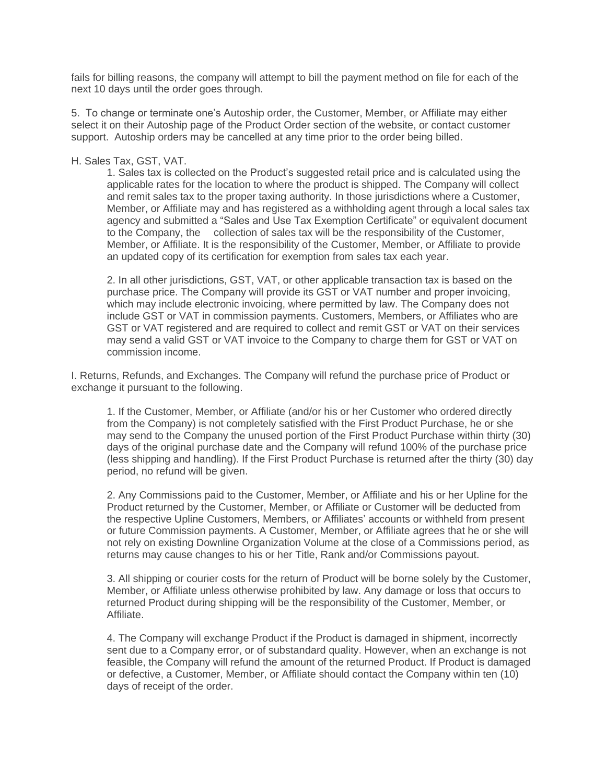fails for billing reasons, the company will attempt to bill the payment method on file for each of the next 10 days until the order goes through.

5. To change or terminate one's Autoship order, the Customer, Member, or Affiliate may either select it on their Autoship page of the Product Order section of the website, or contact customer support. Autoship orders may be cancelled at any time prior to the order being billed.

#### H. Sales Tax, GST, VAT.

1. Sales tax is collected on the Product's suggested retail price and is calculated using the applicable rates for the location to where the product is shipped. The Company will collect and remit sales tax to the proper taxing authority. In those jurisdictions where a Customer, Member, or Affiliate may and has registered as a withholding agent through a local sales tax agency and submitted a "Sales and Use Tax Exemption Certificate" or equivalent document to the Company, the collection of sales tax will be the responsibility of the Customer, Member, or Affiliate. It is the responsibility of the Customer, Member, or Affiliate to provide an updated copy of its certification for exemption from sales tax each year.

2. In all other jurisdictions, GST, VAT, or other applicable transaction tax is based on the purchase price. The Company will provide its GST or VAT number and proper invoicing, which may include electronic invoicing, where permitted by law. The Company does not include GST or VAT in commission payments. Customers, Members, or Affiliates who are GST or VAT registered and are required to collect and remit GST or VAT on their services may send a valid GST or VAT invoice to the Company to charge them for GST or VAT on commission income.

I. Returns, Refunds, and Exchanges. The Company will refund the purchase price of Product or exchange it pursuant to the following.

1. If the Customer, Member, or Affiliate (and/or his or her Customer who ordered directly from the Company) is not completely satisfied with the First Product Purchase, he or she may send to the Company the unused portion of the First Product Purchase within thirty (30) days of the original purchase date and the Company will refund 100% of the purchase price (less shipping and handling). If the First Product Purchase is returned after the thirty (30) day period, no refund will be given.

2. Any Commissions paid to the Customer, Member, or Affiliate and his or her Upline for the Product returned by the Customer, Member, or Affiliate or Customer will be deducted from the respective Upline Customers, Members, or Affiliates' accounts or withheld from present or future Commission payments. A Customer, Member, or Affiliate agrees that he or she will not rely on existing Downline Organization Volume at the close of a Commissions period, as returns may cause changes to his or her Title, Rank and/or Commissions payout.

3. All shipping or courier costs for the return of Product will be borne solely by the Customer, Member, or Affiliate unless otherwise prohibited by law. Any damage or loss that occurs to returned Product during shipping will be the responsibility of the Customer, Member, or Affiliate.

4. The Company will exchange Product if the Product is damaged in shipment, incorrectly sent due to a Company error, or of substandard quality. However, when an exchange is not feasible, the Company will refund the amount of the returned Product. If Product is damaged or defective, a Customer, Member, or Affiliate should contact the Company within ten (10) days of receipt of the order.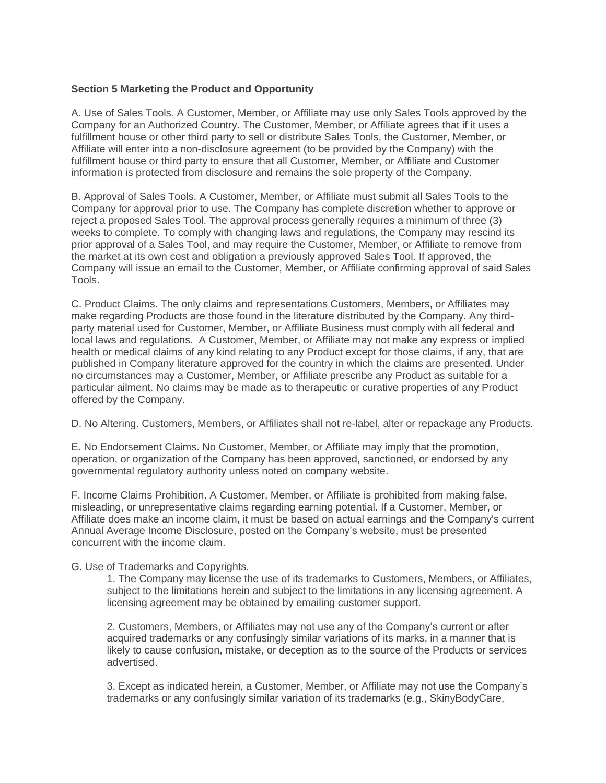## **Section 5 Marketing the Product and Opportunity**

A. Use of Sales Tools. A Customer, Member, or Affiliate may use only Sales Tools approved by the Company for an Authorized Country. The Customer, Member, or Affiliate agrees that if it uses a fulfillment house or other third party to sell or distribute Sales Tools, the Customer, Member, or Affiliate will enter into a non-disclosure agreement (to be provided by the Company) with the fulfillment house or third party to ensure that all Customer, Member, or Affiliate and Customer information is protected from disclosure and remains the sole property of the Company.

B. Approval of Sales Tools. A Customer, Member, or Affiliate must submit all Sales Tools to the Company for approval prior to use. The Company has complete discretion whether to approve or reject a proposed Sales Tool. The approval process generally requires a minimum of three (3) weeks to complete. To comply with changing laws and regulations, the Company may rescind its prior approval of a Sales Tool, and may require the Customer, Member, or Affiliate to remove from the market at its own cost and obligation a previously approved Sales Tool. If approved, the Company will issue an email to the Customer, Member, or Affiliate confirming approval of said Sales Tools.

C. Product Claims. The only claims and representations Customers, Members, or Affiliates may make regarding Products are those found in the literature distributed by the Company. Any thirdparty material used for Customer, Member, or Affiliate Business must comply with all federal and local laws and regulations. A Customer, Member, or Affiliate may not make any express or implied health or medical claims of any kind relating to any Product except for those claims, if any, that are published in Company literature approved for the country in which the claims are presented. Under no circumstances may a Customer, Member, or Affiliate prescribe any Product as suitable for a particular ailment. No claims may be made as to therapeutic or curative properties of any Product offered by the Company.

D. No Altering. Customers, Members, or Affiliates shall not re-label, alter or repackage any Products.

E. No Endorsement Claims. No Customer, Member, or Affiliate may imply that the promotion, operation, or organization of the Company has been approved, sanctioned, or endorsed by any governmental regulatory authority unless noted on company website.

F. Income Claims Prohibition. A Customer, Member, or Affiliate is prohibited from making false, misleading, or unrepresentative claims regarding earning potential. If a Customer, Member, or Affiliate does make an income claim, it must be based on actual earnings and the Company's current Annual Average Income Disclosure, posted on the Company's website, must be presented concurrent with the income claim.

G. Use of Trademarks and Copyrights.

1. The Company may license the use of its trademarks to Customers, Members, or Affiliates, subject to the limitations herein and subject to the limitations in any licensing agreement. A licensing agreement may be obtained by emailing customer support.

2. Customers, Members, or Affiliates may not use any of the Company's current or after acquired trademarks or any confusingly similar variations of its marks, in a manner that is likely to cause confusion, mistake, or deception as to the source of the Products or services advertised.

3. Except as indicated herein, a Customer, Member, or Affiliate may not use the Company's trademarks or any confusingly similar variation of its trademarks (e.g., SkinyBodyCare,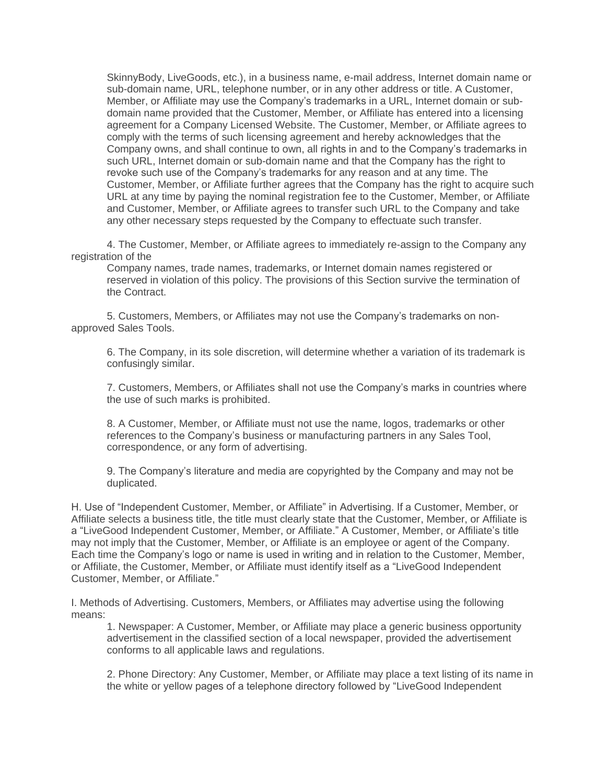SkinnyBody, LiveGoods, etc.), in a business name, e-mail address, Internet domain name or sub-domain name, URL, telephone number, or in any other address or title. A Customer, Member, or Affiliate may use the Company's trademarks in a URL, Internet domain or subdomain name provided that the Customer, Member, or Affiliate has entered into a licensing agreement for a Company Licensed Website. The Customer, Member, or Affiliate agrees to comply with the terms of such licensing agreement and hereby acknowledges that the Company owns, and shall continue to own, all rights in and to the Company's trademarks in such URL, Internet domain or sub-domain name and that the Company has the right to revoke such use of the Company's trademarks for any reason and at any time. The Customer, Member, or Affiliate further agrees that the Company has the right to acquire such URL at any time by paying the nominal registration fee to the Customer, Member, or Affiliate and Customer, Member, or Affiliate agrees to transfer such URL to the Company and take any other necessary steps requested by the Company to effectuate such transfer.

4. The Customer, Member, or Affiliate agrees to immediately re-assign to the Company any registration of the

Company names, trade names, trademarks, or Internet domain names registered or reserved in violation of this policy. The provisions of this Section survive the termination of the Contract.

5. Customers, Members, or Affiliates may not use the Company's trademarks on nonapproved Sales Tools.

6. The Company, in its sole discretion, will determine whether a variation of its trademark is confusingly similar.

7. Customers, Members, or Affiliates shall not use the Company's marks in countries where the use of such marks is prohibited.

8. A Customer, Member, or Affiliate must not use the name, logos, trademarks or other references to the Company's business or manufacturing partners in any Sales Tool, correspondence, or any form of advertising.

9. The Company's literature and media are copyrighted by the Company and may not be duplicated.

H. Use of "Independent Customer, Member, or Affiliate" in Advertising. If a Customer, Member, or Affiliate selects a business title, the title must clearly state that the Customer, Member, or Affiliate is a "LiveGood Independent Customer, Member, or Affiliate." A Customer, Member, or Affiliate's title may not imply that the Customer, Member, or Affiliate is an employee or agent of the Company. Each time the Company's logo or name is used in writing and in relation to the Customer, Member, or Affiliate, the Customer, Member, or Affiliate must identify itself as a "LiveGood Independent Customer, Member, or Affiliate."

I. Methods of Advertising. Customers, Members, or Affiliates may advertise using the following means:

1. Newspaper: A Customer, Member, or Affiliate may place a generic business opportunity advertisement in the classified section of a local newspaper, provided the advertisement conforms to all applicable laws and regulations.

2. Phone Directory: Any Customer, Member, or Affiliate may place a text listing of its name in the white or yellow pages of a telephone directory followed by "LiveGood Independent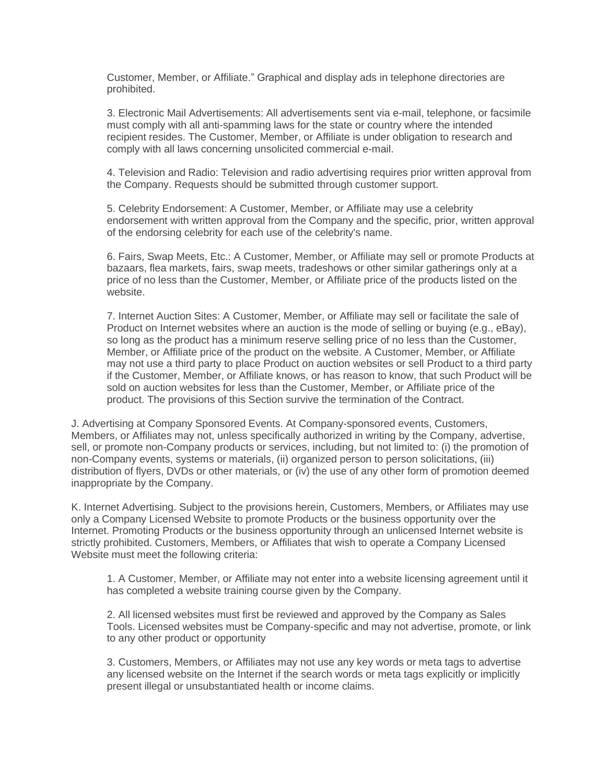Customer, Member, or Affiliate." Graphical and display ads in telephone directories are prohibited.

3. Electronic Mail Advertisements: All advertisements sent via e-mail, telephone, or facsimile must comply with all anti-spamming laws for the state or country where the intended recipient resides. The Customer, Member, or Affiliate is under obligation to research and comply with all laws concerning unsolicited commercial e-mail.

4. Television and Radio: Television and radio advertising requires prior written approval from the Company. Requests should be submitted through customer support.

5. Celebrity Endorsement: A Customer, Member, or Affiliate may use a celebrity endorsement with written approval from the Company and the specific, prior, written approval of the endorsing celebrity for each use of the celebrity's name.

6. Fairs, Swap Meets, Etc.: A Customer, Member, or Affiliate may sell or promote Products at bazaars, flea markets, fairs, swap meets, tradeshows or other similar gatherings only at a price of no less than the Customer, Member, or Affiliate price of the products listed on the website.

7. Internet Auction Sites: A Customer, Member, or Affiliate may sell or facilitate the sale of Product on Internet websites where an auction is the mode of selling or buying (e.g., eBay), so long as the product has a minimum reserve selling price of no less than the Customer, Member, or Affiliate price of the product on the website. A Customer, Member, or Affiliate may not use a third party to place Product on auction websites or sell Product to a third party if the Customer, Member, or Affiliate knows, or has reason to know, that such Product will be sold on auction websites for less than the Customer, Member, or Affiliate price of the product. The provisions of this Section survive the termination of the Contract.

J. Advertising at Company Sponsored Events. At Company-sponsored events, Customers, Members, or Affiliates may not, unless specifically authorized in writing by the Company, advertise, sell, or promote non-Company products or services, including, but not limited to: (i) the promotion of non-Company events, systems or materials, (ii) organized person to person solicitations, (iii) distribution of flyers, DVDs or other materials, or (iv) the use of any other form of promotion deemed inappropriate by the Company.

K. Internet Advertising. Subject to the provisions herein, Customers, Members, or Affiliates may use only a Company Licensed Website to promote Products or the business opportunity over the Internet. Promoting Products or the business opportunity through an unlicensed Internet website is strictly prohibited. Customers, Members, or Affiliates that wish to operate a Company Licensed Website must meet the following criteria:

1. A Customer, Member, or Affiliate may not enter into a website licensing agreement until it has completed a website training course given by the Company.

2. All licensed websites must first be reviewed and approved by the Company as Sales Tools. Licensed websites must be Company-specific and may not advertise, promote, or link to any other product or opportunity

3. Customers, Members, or Affiliates may not use any key words or meta tags to advertise any licensed website on the Internet if the search words or meta tags explicitly or implicitly present illegal or unsubstantiated health or income claims.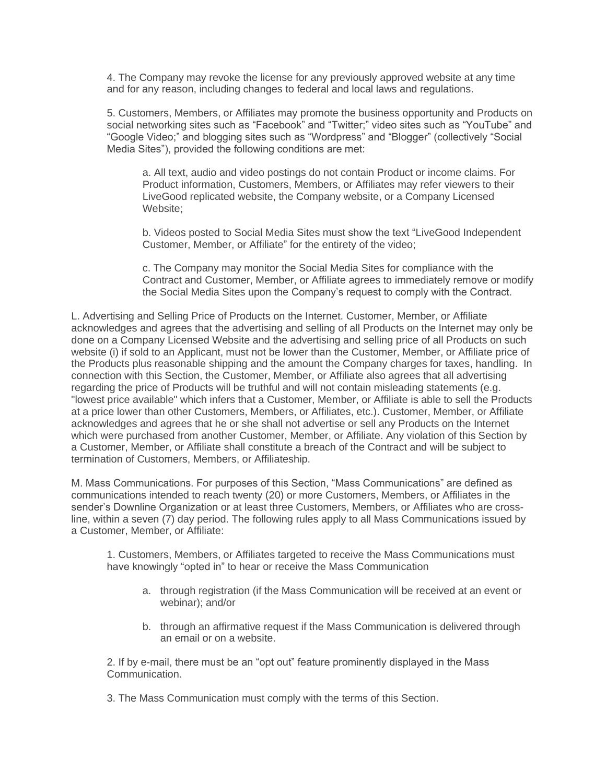4. The Company may revoke the license for any previously approved website at any time and for any reason, including changes to federal and local laws and regulations.

5. Customers, Members, or Affiliates may promote the business opportunity and Products on social networking sites such as "Facebook" and "Twitter;" video sites such as "YouTube" and "Google Video;" and blogging sites such as "Wordpress" and "Blogger" (collectively "Social Media Sites"), provided the following conditions are met:

a. All text, audio and video postings do not contain Product or income claims. For Product information, Customers, Members, or Affiliates may refer viewers to their LiveGood replicated website, the Company website, or a Company Licensed Website;

b. Videos posted to Social Media Sites must show the text "LiveGood Independent Customer, Member, or Affiliate" for the entirety of the video;

c. The Company may monitor the Social Media Sites for compliance with the Contract and Customer, Member, or Affiliate agrees to immediately remove or modify the Social Media Sites upon the Company's request to comply with the Contract.

L. Advertising and Selling Price of Products on the Internet. Customer, Member, or Affiliate acknowledges and agrees that the advertising and selling of all Products on the Internet may only be done on a Company Licensed Website and the advertising and selling price of all Products on such website (i) if sold to an Applicant, must not be lower than the Customer, Member, or Affiliate price of the Products plus reasonable shipping and the amount the Company charges for taxes, handling. In connection with this Section, the Customer, Member, or Affiliate also agrees that all advertising regarding the price of Products will be truthful and will not contain misleading statements (e.g. "lowest price available" which infers that a Customer, Member, or Affiliate is able to sell the Products at a price lower than other Customers, Members, or Affiliates, etc.). Customer, Member, or Affiliate acknowledges and agrees that he or she shall not advertise or sell any Products on the Internet which were purchased from another Customer, Member, or Affiliate. Any violation of this Section by a Customer, Member, or Affiliate shall constitute a breach of the Contract and will be subject to termination of Customers, Members, or Affiliateship.

M. Mass Communications. For purposes of this Section, "Mass Communications" are defined as communications intended to reach twenty (20) or more Customers, Members, or Affiliates in the sender's Downline Organization or at least three Customers, Members, or Affiliates who are crossline, within a seven (7) day period. The following rules apply to all Mass Communications issued by a Customer, Member, or Affiliate:

1. Customers, Members, or Affiliates targeted to receive the Mass Communications must have knowingly "opted in" to hear or receive the Mass Communication

- a. through registration (if the Mass Communication will be received at an event or webinar); and/or
- b. through an affirmative request if the Mass Communication is delivered through an email or on a website.

2. If by e-mail, there must be an "opt out" feature prominently displayed in the Mass Communication.

3. The Mass Communication must comply with the terms of this Section.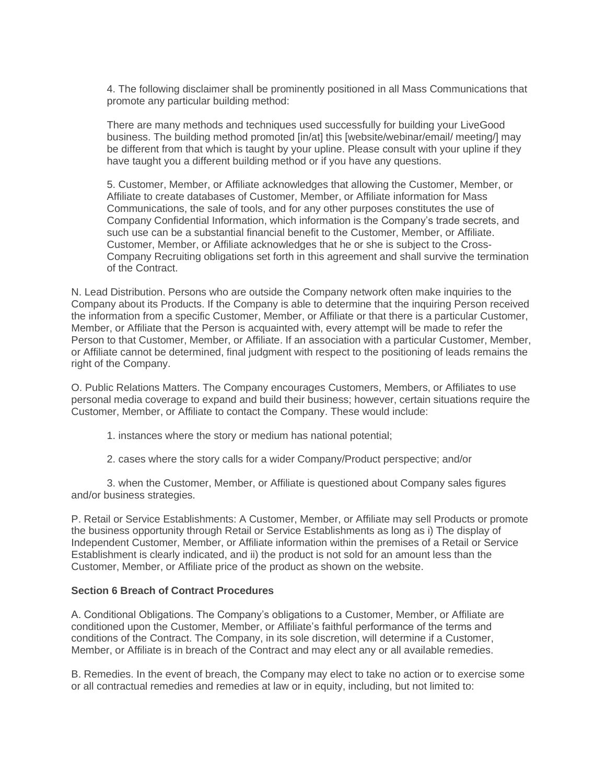4. The following disclaimer shall be prominently positioned in all Mass Communications that promote any particular building method:

There are many methods and techniques used successfully for building your LiveGood business. The building method promoted [in/at] this [website/webinar/email/ meeting/] may be different from that which is taught by your upline. Please consult with your upline if they have taught you a different building method or if you have any questions.

5. Customer, Member, or Affiliate acknowledges that allowing the Customer, Member, or Affiliate to create databases of Customer, Member, or Affiliate information for Mass Communications, the sale of tools, and for any other purposes constitutes the use of Company Confidential Information, which information is the Company's trade secrets, and such use can be a substantial financial benefit to the Customer, Member, or Affiliate. Customer, Member, or Affiliate acknowledges that he or she is subject to the Cross-Company Recruiting obligations set forth in this agreement and shall survive the termination of the Contract.

N. Lead Distribution. Persons who are outside the Company network often make inquiries to the Company about its Products. If the Company is able to determine that the inquiring Person received the information from a specific Customer, Member, or Affiliate or that there is a particular Customer, Member, or Affiliate that the Person is acquainted with, every attempt will be made to refer the Person to that Customer, Member, or Affiliate. If an association with a particular Customer, Member, or Affiliate cannot be determined, final judgment with respect to the positioning of leads remains the right of the Company.

O. Public Relations Matters. The Company encourages Customers, Members, or Affiliates to use personal media coverage to expand and build their business; however, certain situations require the Customer, Member, or Affiliate to contact the Company. These would include:

- 1. instances where the story or medium has national potential;
- 2. cases where the story calls for a wider Company/Product perspective; and/or

3. when the Customer, Member, or Affiliate is questioned about Company sales figures and/or business strategies.

P. Retail or Service Establishments: A Customer, Member, or Affiliate may sell Products or promote the business opportunity through Retail or Service Establishments as long as i) The display of Independent Customer, Member, or Affiliate information within the premises of a Retail or Service Establishment is clearly indicated, and ii) the product is not sold for an amount less than the Customer, Member, or Affiliate price of the product as shown on the website.

#### **Section 6 Breach of Contract Procedures**

A. Conditional Obligations. The Company's obligations to a Customer, Member, or Affiliate are conditioned upon the Customer, Member, or Affiliate's faithful performance of the terms and conditions of the Contract. The Company, in its sole discretion, will determine if a Customer, Member, or Affiliate is in breach of the Contract and may elect any or all available remedies.

B. Remedies. In the event of breach, the Company may elect to take no action or to exercise some or all contractual remedies and remedies at law or in equity, including, but not limited to: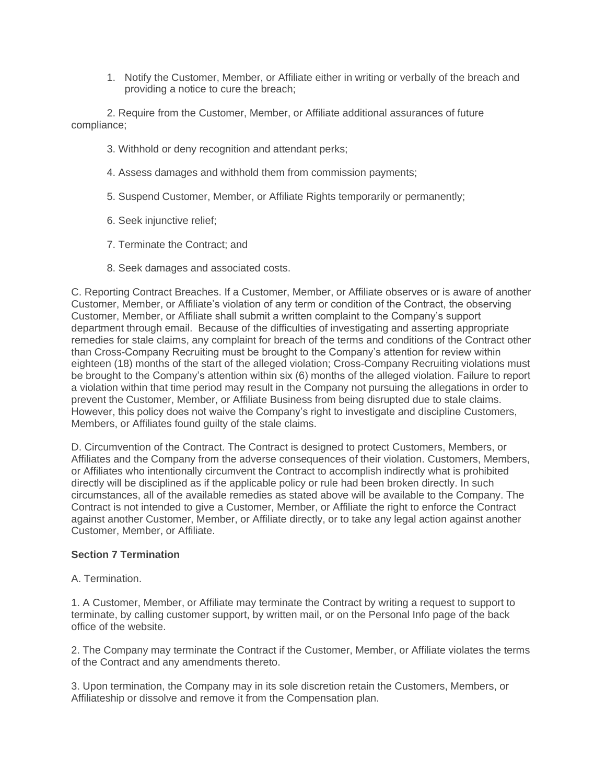1. Notify the Customer, Member, or Affiliate either in writing or verbally of the breach and providing a notice to cure the breach;

2. Require from the Customer, Member, or Affiliate additional assurances of future compliance;

- 3. Withhold or deny recognition and attendant perks;
- 4. Assess damages and withhold them from commission payments;
- 5. Suspend Customer, Member, or Affiliate Rights temporarily or permanently;
- 6. Seek injunctive relief;
- 7. Terminate the Contract; and
- 8. Seek damages and associated costs.

C. Reporting Contract Breaches. If a Customer, Member, or Affiliate observes or is aware of another Customer, Member, or Affiliate's violation of any term or condition of the Contract, the observing Customer, Member, or Affiliate shall submit a written complaint to the Company's support department through email. Because of the difficulties of investigating and asserting appropriate remedies for stale claims, any complaint for breach of the terms and conditions of the Contract other than Cross-Company Recruiting must be brought to the Company's attention for review within eighteen (18) months of the start of the alleged violation; Cross-Company Recruiting violations must be brought to the Company's attention within six (6) months of the alleged violation. Failure to report a violation within that time period may result in the Company not pursuing the allegations in order to prevent the Customer, Member, or Affiliate Business from being disrupted due to stale claims. However, this policy does not waive the Company's right to investigate and discipline Customers, Members, or Affiliates found guilty of the stale claims.

D. Circumvention of the Contract. The Contract is designed to protect Customers, Members, or Affiliates and the Company from the adverse consequences of their violation. Customers, Members, or Affiliates who intentionally circumvent the Contract to accomplish indirectly what is prohibited directly will be disciplined as if the applicable policy or rule had been broken directly. In such circumstances, all of the available remedies as stated above will be available to the Company. The Contract is not intended to give a Customer, Member, or Affiliate the right to enforce the Contract against another Customer, Member, or Affiliate directly, or to take any legal action against another Customer, Member, or Affiliate.

#### **Section 7 Termination**

## A. Termination.

1. A Customer, Member, or Affiliate may terminate the Contract by writing a request to support to terminate, by calling customer support, by written mail, or on the Personal Info page of the back office of the website.

2. The Company may terminate the Contract if the Customer, Member, or Affiliate violates the terms of the Contract and any amendments thereto.

3. Upon termination, the Company may in its sole discretion retain the Customers, Members, or Affiliateship or dissolve and remove it from the Compensation plan.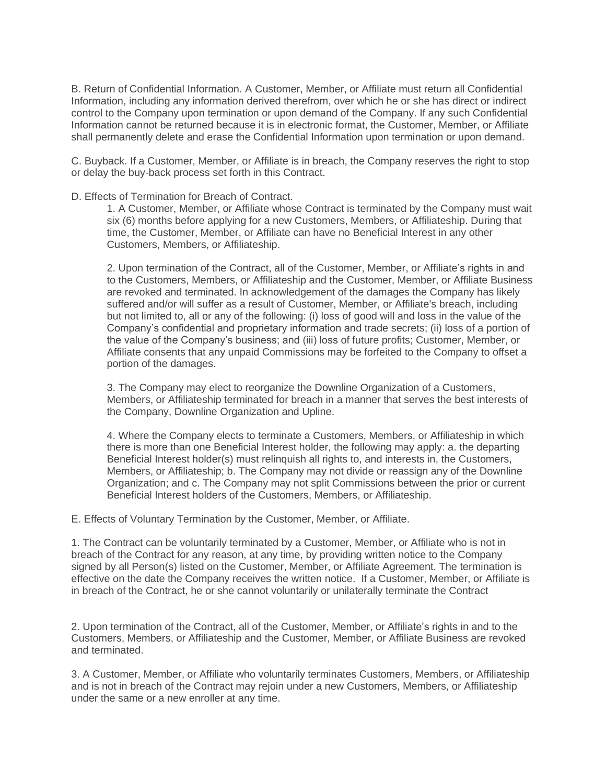B. Return of Confidential Information. A Customer, Member, or Affiliate must return all Confidential Information, including any information derived therefrom, over which he or she has direct or indirect control to the Company upon termination or upon demand of the Company. If any such Confidential Information cannot be returned because it is in electronic format, the Customer, Member, or Affiliate shall permanently delete and erase the Confidential Information upon termination or upon demand.

C. Buyback. If a Customer, Member, or Affiliate is in breach, the Company reserves the right to stop or delay the buy-back process set forth in this Contract.

#### D. Effects of Termination for Breach of Contract.

1. A Customer, Member, or Affiliate whose Contract is terminated by the Company must wait six (6) months before applying for a new Customers, Members, or Affiliateship. During that time, the Customer, Member, or Affiliate can have no Beneficial Interest in any other Customers, Members, or Affiliateship.

2. Upon termination of the Contract, all of the Customer, Member, or Affiliate's rights in and to the Customers, Members, or Affiliateship and the Customer, Member, or Affiliate Business are revoked and terminated. In acknowledgement of the damages the Company has likely suffered and/or will suffer as a result of Customer, Member, or Affiliate's breach, including but not limited to, all or any of the following: (i) loss of good will and loss in the value of the Company's confidential and proprietary information and trade secrets; (ii) loss of a portion of the value of the Company's business; and (iii) loss of future profits; Customer, Member, or Affiliate consents that any unpaid Commissions may be forfeited to the Company to offset a portion of the damages.

3. The Company may elect to reorganize the Downline Organization of a Customers, Members, or Affiliateship terminated for breach in a manner that serves the best interests of the Company, Downline Organization and Upline.

4. Where the Company elects to terminate a Customers, Members, or Affiliateship in which there is more than one Beneficial Interest holder, the following may apply: a. the departing Beneficial Interest holder(s) must relinquish all rights to, and interests in, the Customers, Members, or Affiliateship; b. The Company may not divide or reassign any of the Downline Organization; and c. The Company may not split Commissions between the prior or current Beneficial Interest holders of the Customers, Members, or Affiliateship.

E. Effects of Voluntary Termination by the Customer, Member, or Affiliate.

1. The Contract can be voluntarily terminated by a Customer, Member, or Affiliate who is not in breach of the Contract for any reason, at any time, by providing written notice to the Company signed by all Person(s) listed on the Customer, Member, or Affiliate Agreement. The termination is effective on the date the Company receives the written notice. If a Customer, Member, or Affiliate is in breach of the Contract, he or she cannot voluntarily or unilaterally terminate the Contract

2. Upon termination of the Contract, all of the Customer, Member, or Affiliate's rights in and to the Customers, Members, or Affiliateship and the Customer, Member, or Affiliate Business are revoked and terminated.

3. A Customer, Member, or Affiliate who voluntarily terminates Customers, Members, or Affiliateship and is not in breach of the Contract may rejoin under a new Customers, Members, or Affiliateship under the same or a new enroller at any time.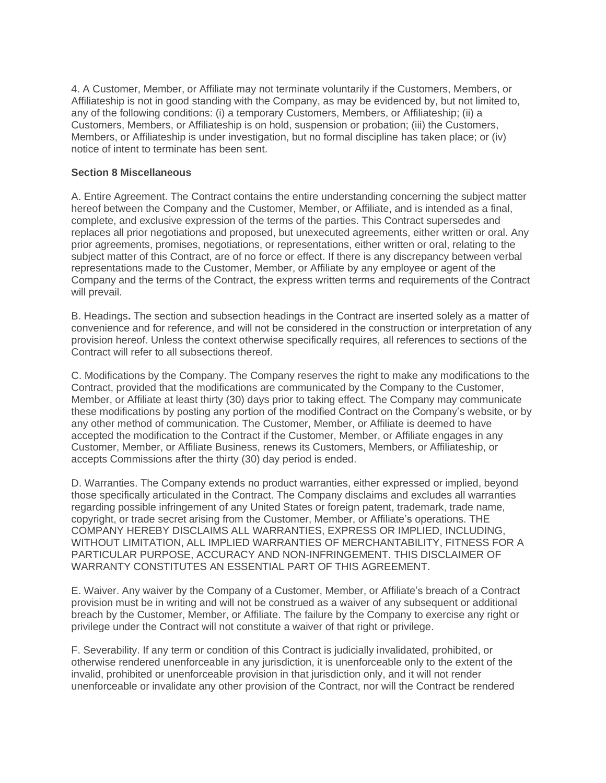4. A Customer, Member, or Affiliate may not terminate voluntarily if the Customers, Members, or Affiliateship is not in good standing with the Company, as may be evidenced by, but not limited to, any of the following conditions: (i) a temporary Customers, Members, or Affiliateship; (ii) a Customers, Members, or Affiliateship is on hold, suspension or probation; (iii) the Customers, Members, or Affiliateship is under investigation, but no formal discipline has taken place; or (iv) notice of intent to terminate has been sent.

## **Section 8 Miscellaneous**

A. Entire Agreement. The Contract contains the entire understanding concerning the subject matter hereof between the Company and the Customer, Member, or Affiliate, and is intended as a final, complete, and exclusive expression of the terms of the parties. This Contract supersedes and replaces all prior negotiations and proposed, but unexecuted agreements, either written or oral. Any prior agreements, promises, negotiations, or representations, either written or oral, relating to the subject matter of this Contract, are of no force or effect. If there is any discrepancy between verbal representations made to the Customer, Member, or Affiliate by any employee or agent of the Company and the terms of the Contract, the express written terms and requirements of the Contract will prevail.

B. Headings**.** The section and subsection headings in the Contract are inserted solely as a matter of convenience and for reference, and will not be considered in the construction or interpretation of any provision hereof. Unless the context otherwise specifically requires, all references to sections of the Contract will refer to all subsections thereof.

C. Modifications by the Company. The Company reserves the right to make any modifications to the Contract, provided that the modifications are communicated by the Company to the Customer, Member, or Affiliate at least thirty (30) days prior to taking effect. The Company may communicate these modifications by posting any portion of the modified Contract on the Company's website, or by any other method of communication. The Customer, Member, or Affiliate is deemed to have accepted the modification to the Contract if the Customer, Member, or Affiliate engages in any Customer, Member, or Affiliate Business, renews its Customers, Members, or Affiliateship, or accepts Commissions after the thirty (30) day period is ended.

D. Warranties. The Company extends no product warranties, either expressed or implied, beyond those specifically articulated in the Contract. The Company disclaims and excludes all warranties regarding possible infringement of any United States or foreign patent, trademark, trade name, copyright, or trade secret arising from the Customer, Member, or Affiliate's operations. THE COMPANY HEREBY DISCLAIMS ALL WARRANTIES, EXPRESS OR IMPLIED, INCLUDING, WITHOUT LIMITATION, ALL IMPLIED WARRANTIES OF MERCHANTABILITY, FITNESS FOR A PARTICULAR PURPOSE, ACCURACY AND NON-INFRINGEMENT. THIS DISCLAIMER OF WARRANTY CONSTITUTES AN ESSENTIAL PART OF THIS AGREEMENT.

E. Waiver. Any waiver by the Company of a Customer, Member, or Affiliate's breach of a Contract provision must be in writing and will not be construed as a waiver of any subsequent or additional breach by the Customer, Member, or Affiliate. The failure by the Company to exercise any right or privilege under the Contract will not constitute a waiver of that right or privilege.

F. Severability. If any term or condition of this Contract is judicially invalidated, prohibited, or otherwise rendered unenforceable in any jurisdiction, it is unenforceable only to the extent of the invalid, prohibited or unenforceable provision in that jurisdiction only, and it will not render unenforceable or invalidate any other provision of the Contract, nor will the Contract be rendered